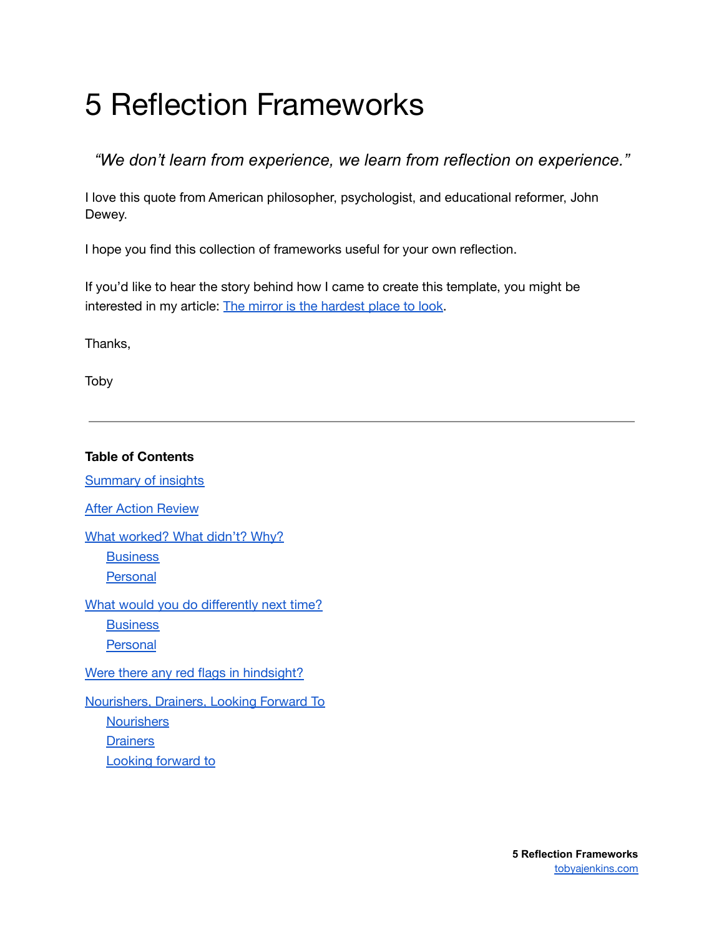# 5 Reflection Frameworks

*"We don't learn from experience, we learn from reflection on experience."*

I love this quote from American philosopher, psychologist, and educational reformer, John Dewey.

I hope you find this collection of frameworks useful for your own reflection.

If you'd like to hear the story behind how I came to create this template, you might be interested in my article: The mirror is the [hardest](https://tobyajenkins.com/the-mirror-is-the-hardest-place-to-look/) place to look.

Thanks,

Toby

**Table of Contents** [Summary](#page-1-0) of insights After Action [Review](#page-2-0) What [worked?](#page-3-0) What didn't? Why? **[Business](#page-3-1)** [Personal](#page-7-0) What would you do [differently](#page-10-0) next time? **[Business](#page-10-1) [Personal](#page-10-2)** Were there any red flags in [hindsight?](#page-11-0) [Nourishers,](#page-12-0) Drainers, Looking Forward To **[Nourishers](#page-12-1) [Drainers](#page-12-2)** [Looking](#page-13-0) forward to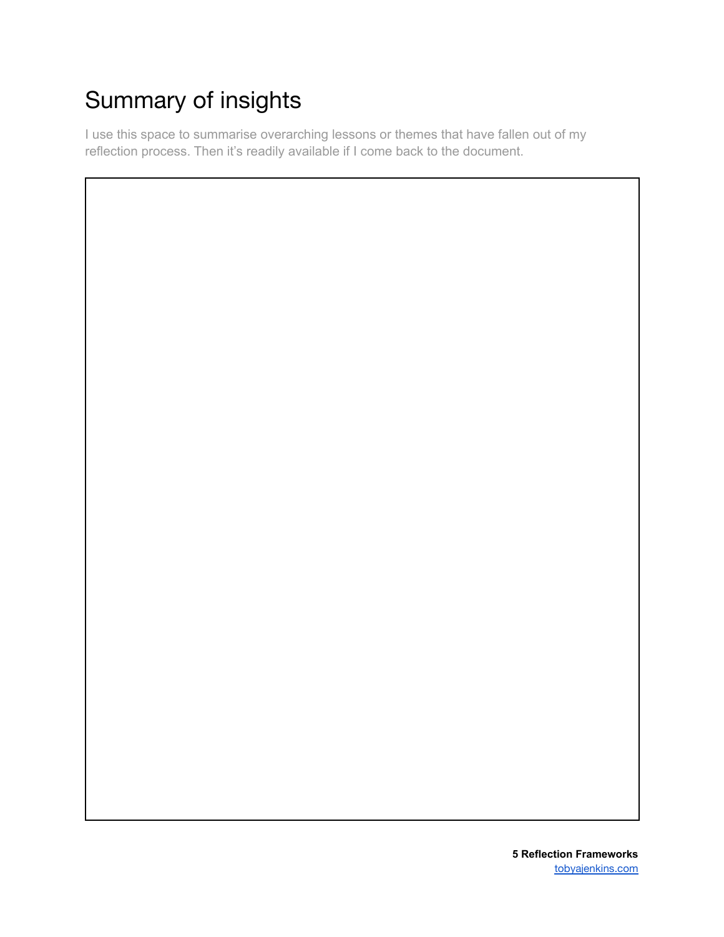# <span id="page-1-0"></span>Summary of insights

I use this space to summarise overarching lessons or themes that have fallen out of my reflection process. Then it's readily available if I come back to the document.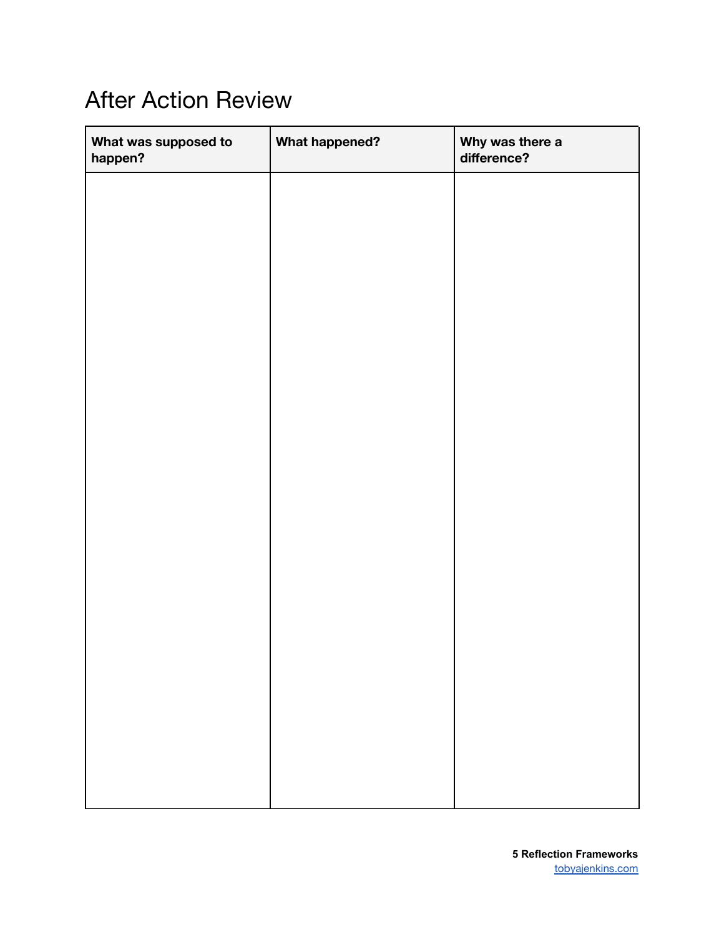### <span id="page-2-0"></span>After Action Review

| What was supposed to<br>happen? | <b>What happened?</b> | Why was there a<br>difference? |
|---------------------------------|-----------------------|--------------------------------|
|                                 |                       |                                |
|                                 |                       |                                |
|                                 |                       |                                |
|                                 |                       |                                |
|                                 |                       |                                |
|                                 |                       |                                |
|                                 |                       |                                |
|                                 |                       |                                |
|                                 |                       |                                |
|                                 |                       |                                |
|                                 |                       |                                |
|                                 |                       |                                |
|                                 |                       |                                |
|                                 |                       |                                |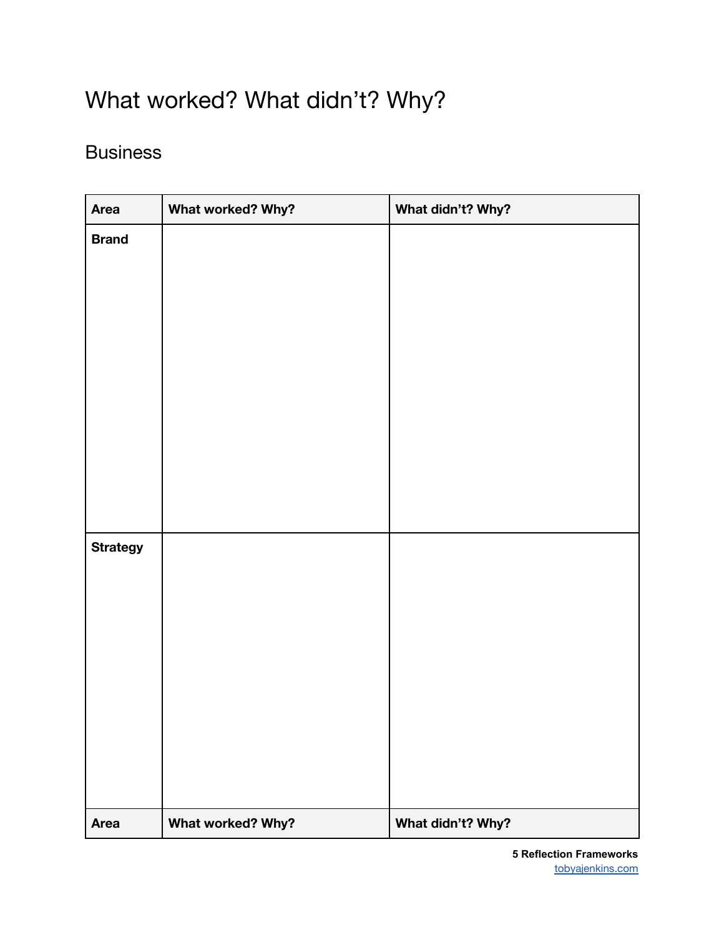## <span id="page-3-0"></span>What worked? What didn't? Why?

#### <span id="page-3-1"></span>**Business**

| <b>Area</b>     | What worked? Why? | What didn't? Why? |
|-----------------|-------------------|-------------------|
| <b>Brand</b>    |                   |                   |
|                 |                   |                   |
|                 |                   |                   |
|                 |                   |                   |
|                 |                   |                   |
|                 |                   |                   |
|                 |                   |                   |
|                 |                   |                   |
|                 |                   |                   |
|                 |                   |                   |
|                 |                   |                   |
| <b>Strategy</b> |                   |                   |
|                 |                   |                   |
|                 |                   |                   |
|                 |                   |                   |
|                 |                   |                   |
|                 |                   |                   |
|                 |                   |                   |
|                 |                   |                   |
|                 |                   |                   |
| <b>Area</b>     | What worked? Why? | What didn't? Why? |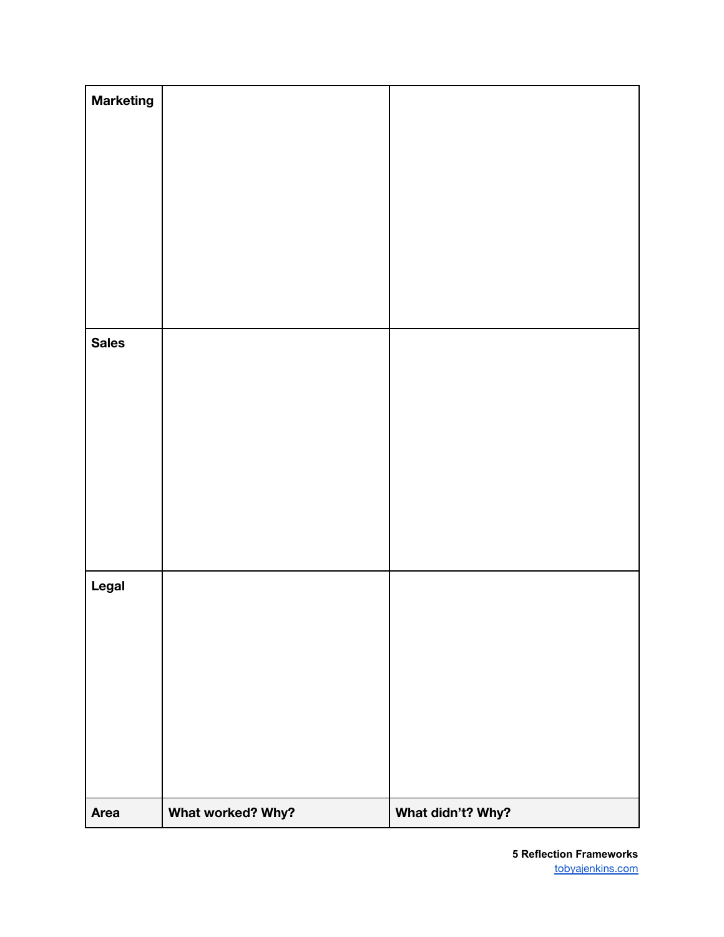| <b>Sales</b><br>Legal |  |
|-----------------------|--|
|                       |  |
|                       |  |
|                       |  |
|                       |  |
|                       |  |
|                       |  |
| <b>Marketing</b>      |  |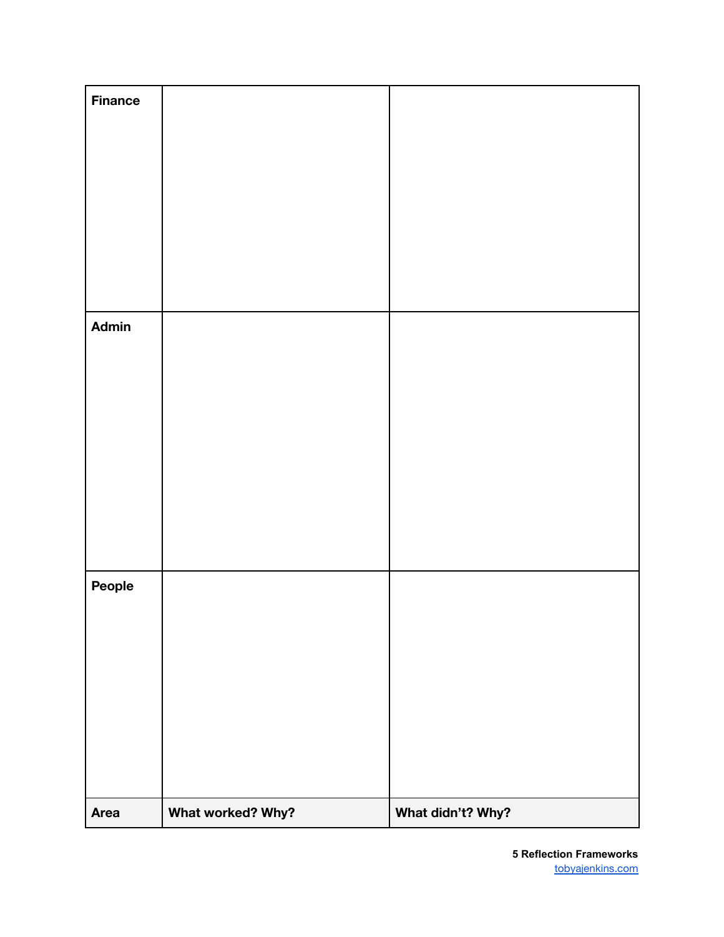| <b>Finance</b> |                   |                   |
|----------------|-------------------|-------------------|
|                |                   |                   |
|                |                   |                   |
|                |                   |                   |
|                |                   |                   |
|                |                   |                   |
| Admin          |                   |                   |
|                |                   |                   |
|                |                   |                   |
|                |                   |                   |
|                |                   |                   |
|                |                   |                   |
|                |                   |                   |
| People         |                   |                   |
|                |                   |                   |
|                |                   |                   |
|                |                   |                   |
|                |                   |                   |
|                |                   |                   |
| Area           | What worked? Why? | What didn't? Why? |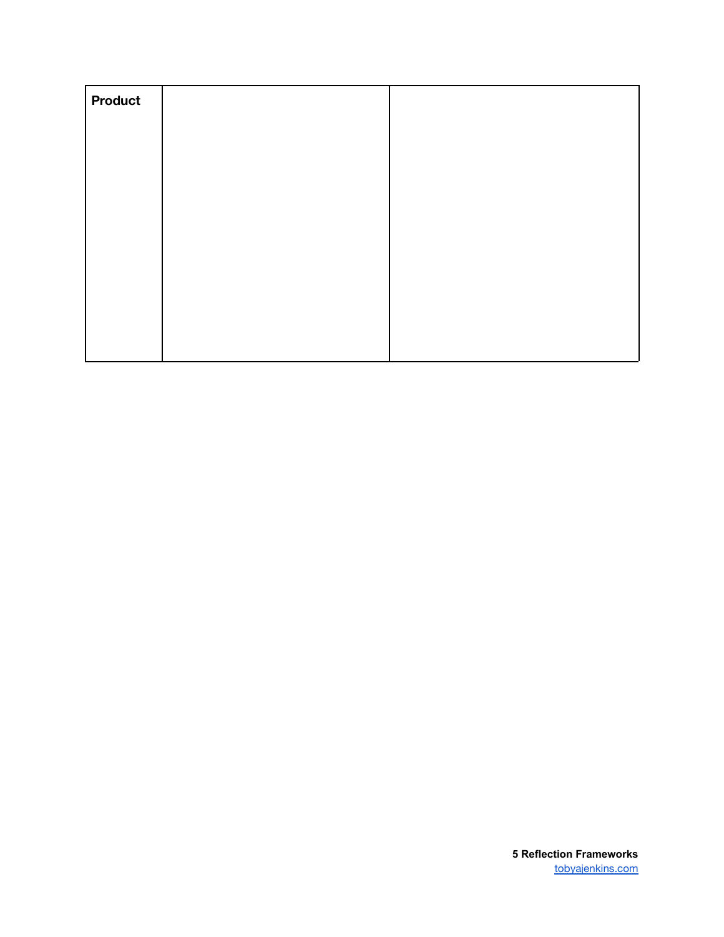| <b>Product</b> |  |
|----------------|--|
|                |  |
|                |  |
|                |  |
|                |  |
|                |  |
|                |  |
|                |  |
|                |  |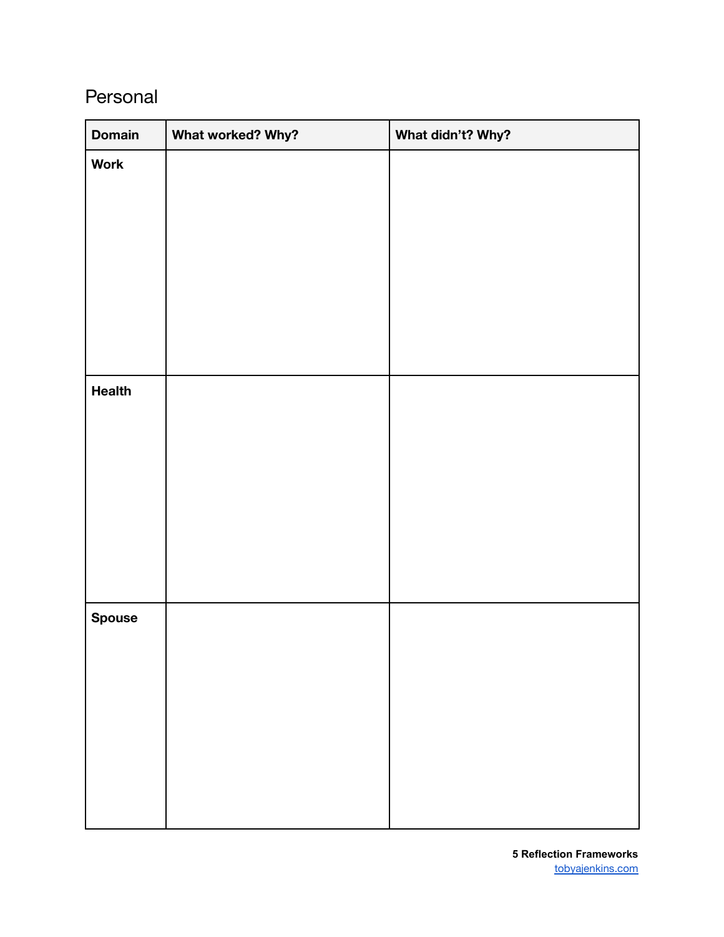#### <span id="page-7-0"></span>Personal

| <b>Domain</b> | What worked? Why? | What didn't? Why? |
|---------------|-------------------|-------------------|
| <b>Work</b>   |                   |                   |
|               |                   |                   |
|               |                   |                   |
|               |                   |                   |
|               |                   |                   |
|               |                   |                   |
|               |                   |                   |
|               |                   |                   |
| <b>Health</b> |                   |                   |
|               |                   |                   |
|               |                   |                   |
|               |                   |                   |
|               |                   |                   |
|               |                   |                   |
|               |                   |                   |
|               |                   |                   |
| <b>Spouse</b> |                   |                   |
|               |                   |                   |
|               |                   |                   |
|               |                   |                   |
|               |                   |                   |
|               |                   |                   |
|               |                   |                   |
|               |                   |                   |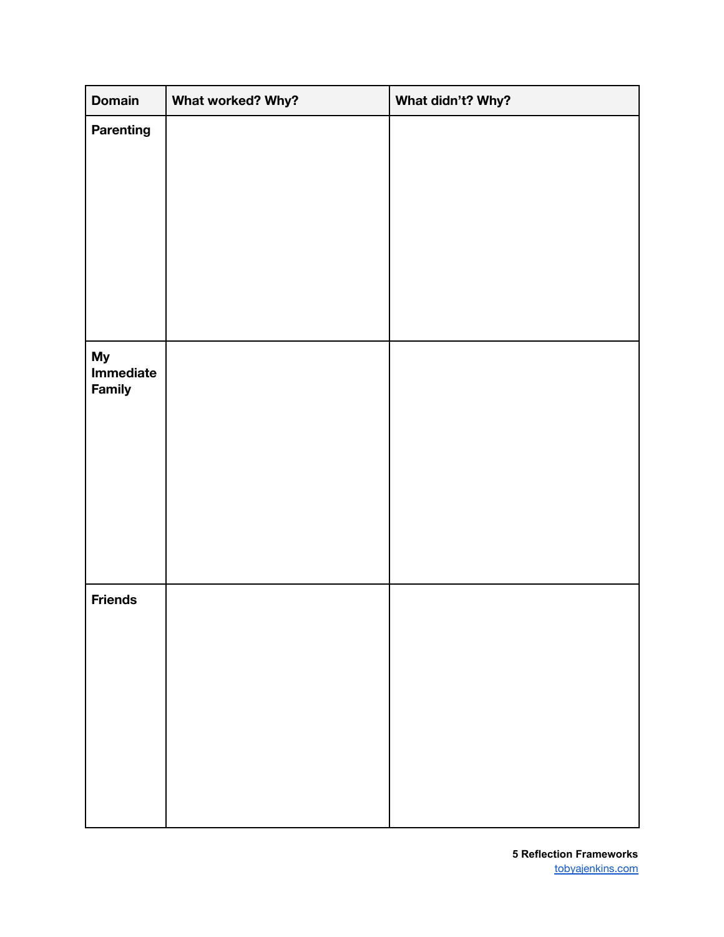| <b>Domain</b>                    | What worked? Why? | What didn't? Why? |
|----------------------------------|-------------------|-------------------|
| <b>Parenting</b>                 |                   |                   |
|                                  |                   |                   |
|                                  |                   |                   |
|                                  |                   |                   |
|                                  |                   |                   |
|                                  |                   |                   |
|                                  |                   |                   |
|                                  |                   |                   |
| <b>My</b><br>Immediate<br>Family |                   |                   |
|                                  |                   |                   |
|                                  |                   |                   |
|                                  |                   |                   |
|                                  |                   |                   |
|                                  |                   |                   |
|                                  |                   |                   |
| <b>Friends</b>                   |                   |                   |
|                                  |                   |                   |
|                                  |                   |                   |
|                                  |                   |                   |
|                                  |                   |                   |
|                                  |                   |                   |
|                                  |                   |                   |
|                                  |                   |                   |
|                                  |                   |                   |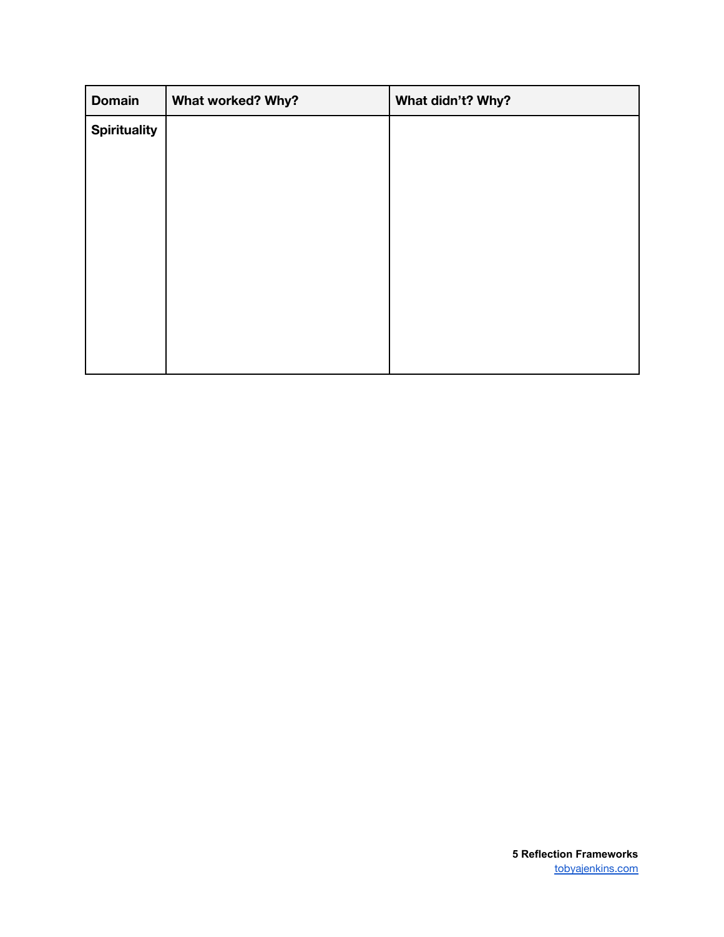| <b>Domain</b>       | What worked? Why? | What didn't? Why? |
|---------------------|-------------------|-------------------|
| <b>Spirituality</b> |                   |                   |
|                     |                   |                   |
|                     |                   |                   |
|                     |                   |                   |
|                     |                   |                   |
|                     |                   |                   |
|                     |                   |                   |
|                     |                   |                   |
|                     |                   |                   |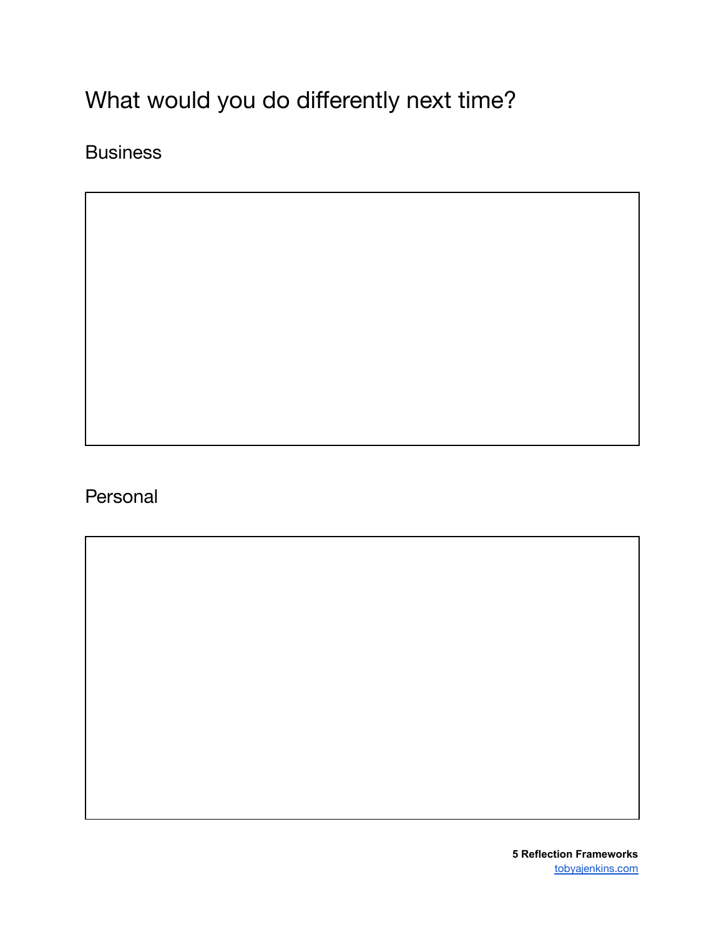# <span id="page-10-0"></span>What would you do differently next time?

<span id="page-10-1"></span>**Business** 

<span id="page-10-2"></span>Personal

**5 Reflection Frameworks** [tobyajenkins.com](https://tobyajenkins.com/)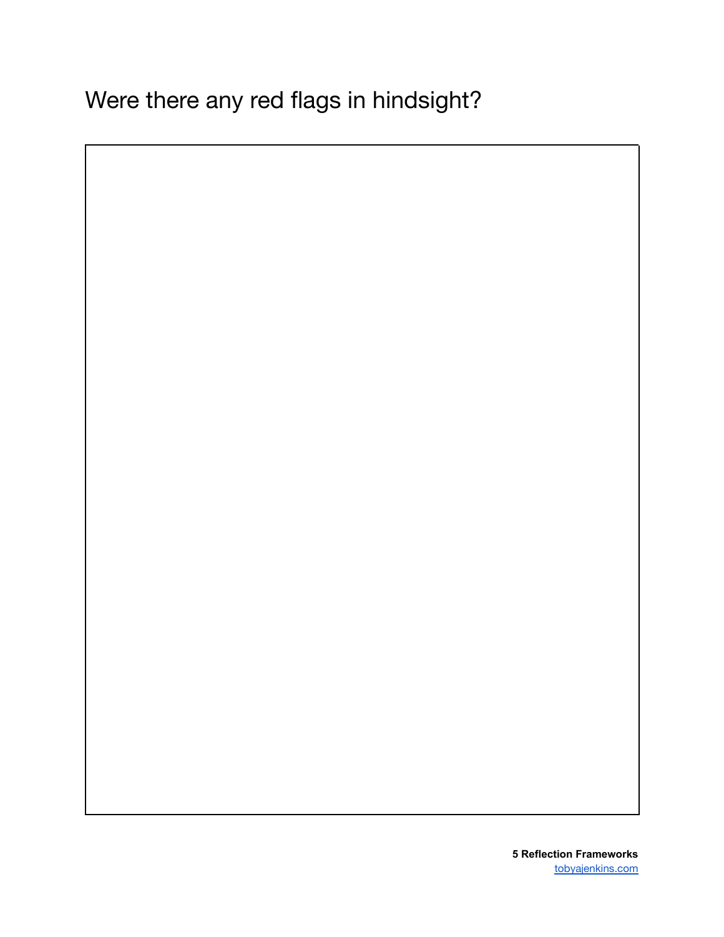<span id="page-11-0"></span>Were there any red flags in hindsight?

**5 Reflection Frameworks** [tobyajenkins.com](https://tobyajenkins.com/)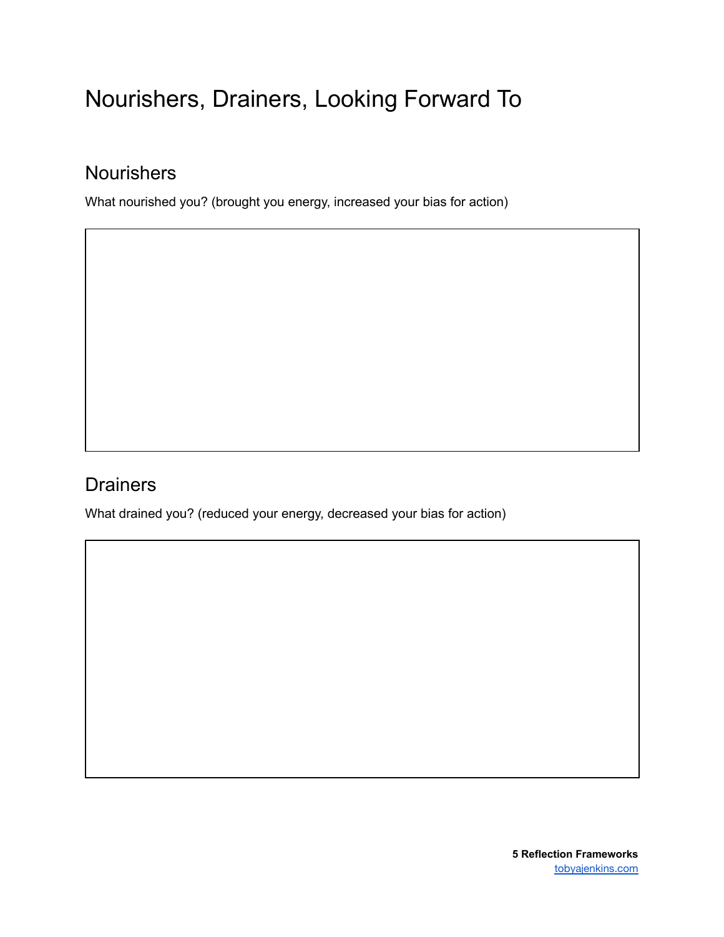### <span id="page-12-0"></span>Nourishers, Drainers, Looking Forward To

#### <span id="page-12-1"></span>**Nourishers**

What nourished you? (brought you energy, increased your bias for action)

#### <span id="page-12-2"></span>**Drainers**

What drained you? (reduced your energy, decreased your bias for action)